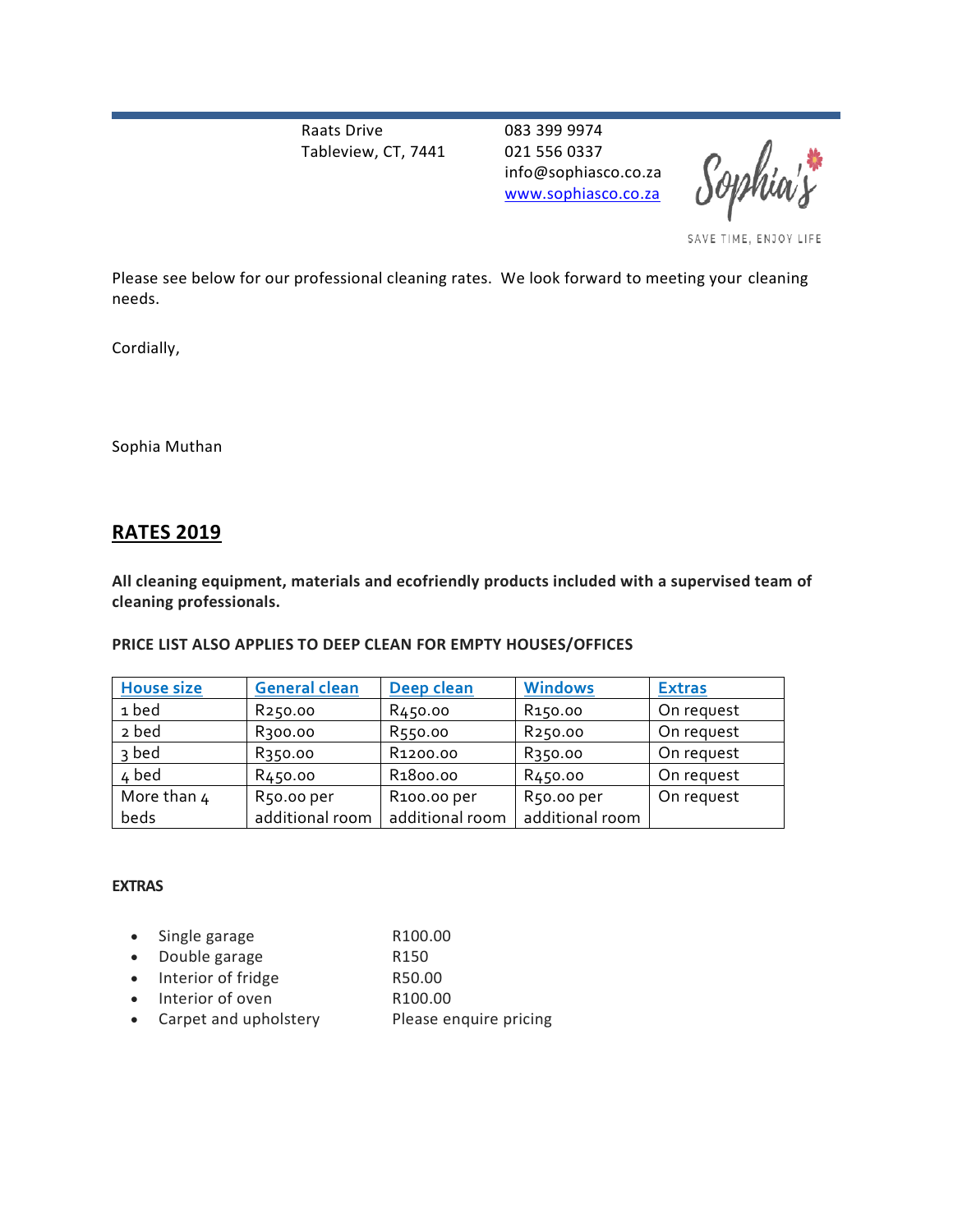Raats Drive Tableview, CT, 7441 083 399 9974 021 556 0337 info@sophiasco.co.za [www.sophiasco.co.za](http://www.sophiasco.co.za/)

Sophia

SAVE TIME, ENJOY LIFE

Please see below for our professional cleaning rates. We look forward to meeting your cleaning needs.

Cordially,

Sophia Muthan

# **RATES 2019**

**All cleaning equipment, materials and ecofriendly products included with a supervised team of cleaning professionals.** 

# **PRICE LIST ALSO APPLIES TO DEEP CLEAN FOR EMPTY HOUSES/OFFICES**

| <b>House size</b> | <b>General clean</b> | Deep clean               | <b>Windows</b>      | <b>Extras</b> |
|-------------------|----------------------|--------------------------|---------------------|---------------|
| 1 bed             | R <sub>250.00</sub>  | R <sub>450</sub> .00     | R <sub>150.00</sub> | On request    |
| 2 bed             | R300.00              | R550.00                  | R <sub>250.00</sub> | On request    |
| 3 bed             | R <sub>350.00</sub>  | R <sub>1200.00</sub>     | R350.00             | On request    |
| 4 bed             | R450.00              | R <sub>1</sub> 800.00    | R <sub>450.00</sub> | On request    |
| More than 4       | R50.00 per           | R <sub>100</sub> .00 per | R50.00 per          | On request    |
| beds              | additional room      | additional room          | additional room     |               |

#### **EXTRAS**

| • Single garage         | R <sub>100.00</sub>    |
|-------------------------|------------------------|
| • Double garage         | R <sub>150</sub>       |
| • Interior of fridge    | R50.00                 |
| • Interior of oven      | R100.00                |
| • Carpet and upholstery | Please enquire pricing |
|                         |                        |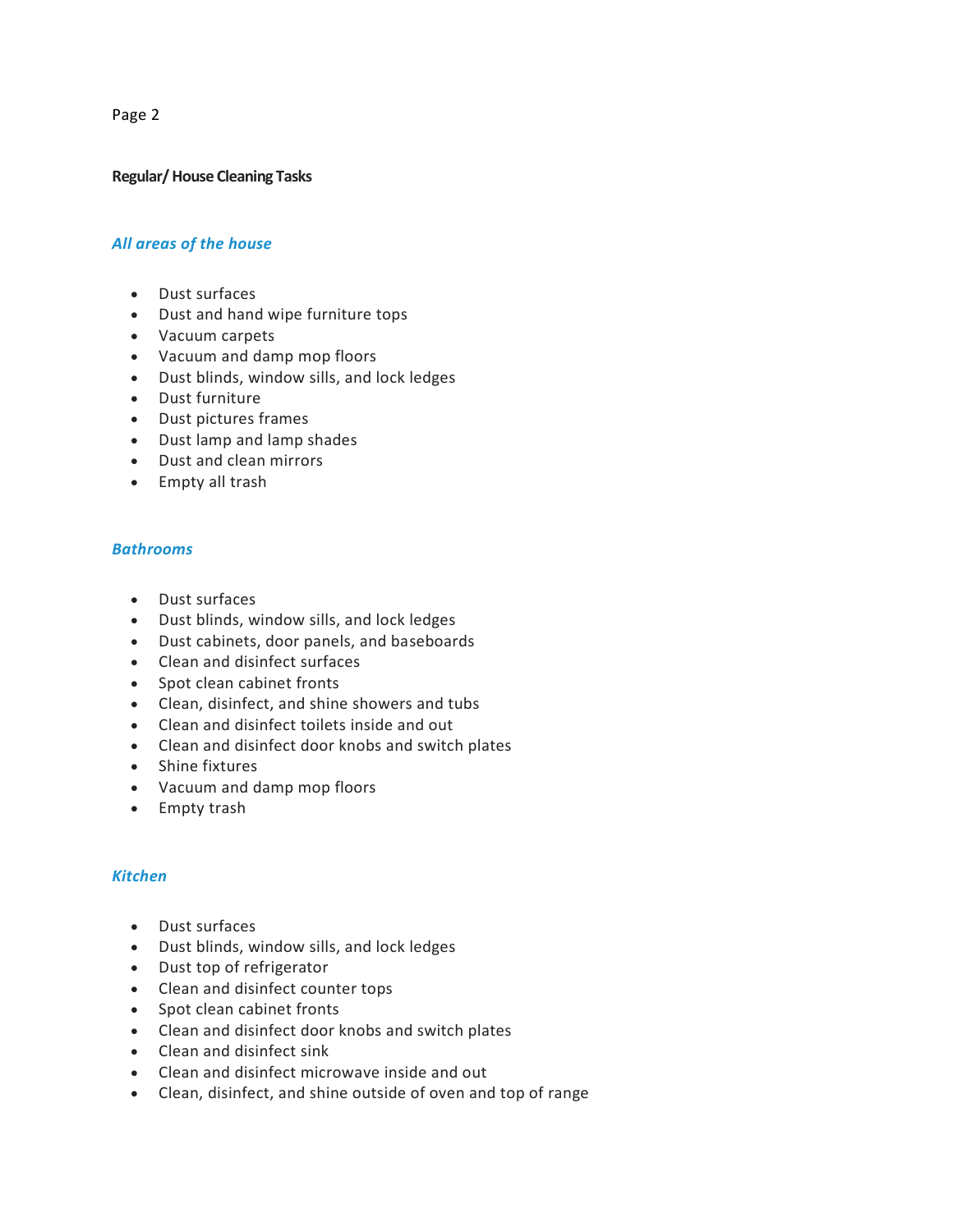Page 2

#### **Regular/House Cleaning Tasks**

## *All areas of the house*

- Dust surfaces
- Dust and hand wipe furniture tops
- Vacuum carpets
- Vacuum and damp mop floors
- Dust blinds, window sills, and lock ledges
- Dust furniture
- Dust pictures frames
- Dust lamp and lamp shades
- Dust and clean mirrors
- Empty all trash

#### *Bathrooms*

- Dust surfaces
- Dust blinds, window sills, and lock ledges
- Dust cabinets, door panels, and baseboards
- Clean and disinfect surfaces
- Spot clean cabinet fronts
- Clean, disinfect, and shine showers and tubs
- Clean and disinfect toilets inside and out
- Clean and disinfect door knobs and switch plates
- Shine fixtures
- Vacuum and damp mop floors
- Empty trash

# *Kitchen*

- Dust surfaces
- Dust blinds, window sills, and lock ledges
- Dust top of refrigerator
- Clean and disinfect counter tops
- Spot clean cabinet fronts
- Clean and disinfect door knobs and switch plates
- Clean and disinfect sink
- Clean and disinfect microwave inside and out
- Clean, disinfect, and shine outside of oven and top of range